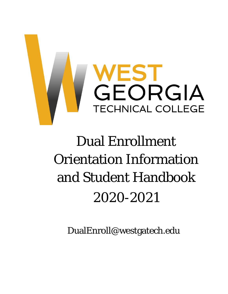

# Dual Enrollment Orientation Information and Student Handbook 2020-2021

DualEnroll@westgatech.edu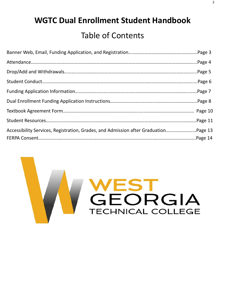# **WGTC Dual Enrollment Student Handbook**

# Table of Contents

| Accessibility Services, Registration, Grades, and Admission after GraduationPage 13 |  |
|-------------------------------------------------------------------------------------|--|
|                                                                                     |  |

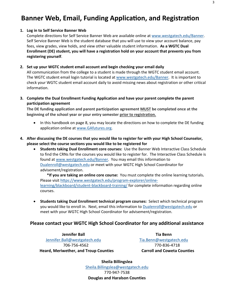## **Banner Web, Email, Funding Application, and Registration**

#### **1. Log in to Self Service Banner Web**

Complete directions for Self Service Banner Web are available online at [www.westgatech.edu/Banner.](http://www.westgatech.edu/Banner) Self Service Banner Web is the student database that you will use to view your account balance, pay fees, view grades, view holds, and view other valuable student information. **As a WGTC Dual Enrollment (DE) student, you will have a registration hold on your account that prevents you from registering yourself**.

#### **2. Set up your WGTC student email account and begin checking your email daily**

All communication from the college to a student is made through the WGTC student email account. The WGTC student email login tutorial is located at [www.westgatech.edu/Banner.](http://www.westgatech.edu/Banner) It is important to check your WGTC student email account daily to avoid missing news about registration or other critical information.

**3. Complete the Dual Enrollment Funding Application and have your parent complete the parent participation agreement**

**The DE funding application and parent participation agreement MUST be completed once at the beginning of the school year or your entry semester prior to registration.** 

- In this handbook on page 8, you may locate the directions on how to complete the DE funding application online at [www.GAfutures.org.](http://www.gafutures.org/)
- **4. After discussing the DE courses that you would like to register for with your High School Counselor, please select the course sections you would like to be registered for**
	- **Students taking Dual Enrollment core courses:** Use the Banner Web Interactive Class Schedule to find the CRNs for the courses you would like to register for. The Interactive Class Schedule is found at [www.westgatech.edu/Banner.](http://www.westgatech.edu/Banner) You may email this information to [Dualenroll@westgatech.edu](mailto:Dualenroll@westgatech.edu) or meet with your WGTC High School Coordinator for advisement/registration.

**\*If you are taking an online core course:** You must complete the online learning tutorials**.**  Please visit [https://www.westgatech.edu/program](https://www.westgatech.edu/program-explorer/online-learning/blackboard/student-blackboard-training/)-explorer/online[learning/blackboard/student-blackboard-training/](https://www.westgatech.edu/program-explorer/online-learning/blackboard/student-blackboard-training/) for complete information regarding online courses.

• **Students taking Dual Enrollment technical program courses:** Select which technical program you would like to enroll in. Next, email this information to [Dualenroll@westgatech.edu](mailto:Dualenroll@westgatech.edu) or meet with your WGTC High School Coordinator for advisement/registration.

### **Please contact your WGTC High School Coordinator for any additional assistance**

**Jennifer Ball Tia Benn** [Jennifer.Ball@westgatech.edu](mailto:Jennifer.Ball@westgatech.edu) [Tia.Benn@westgatech.edu](mailto:Tia.Benn@westgatech.edu) 706-756-4562 770-836-4718 **Heard, Meriwether, and Troup Counties Carroll and Coweta Counties**

**Sheila Billingslea** [Sheila.Billingslea@westgatech.edu](mailto:Sheila.Billingslea@westgatech.edu) 770-947-7538 **Douglas and Haralson Counties**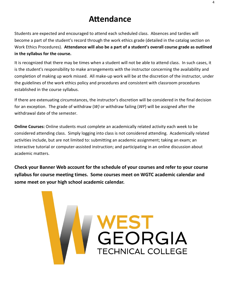# **Attendance**

Students are expected and encouraged to attend each scheduled class. Absences and tardies will become a part of the student's record through the work ethics grade (detailed in the catalog section on Work Ethics Procedures). **Attendance will also be a part of a student's overall course grade as outlined in the syllabus for the course.**

It is recognized that there may be times when a student will not be able to attend class. In such cases, it is the student's responsibility to make arrangements with the instructor concerning the availability and completion of making up work missed. All make-up work will be at the discretion of the instructor, under the guidelines of the work ethics policy and procedures and consistent with classroom procedures established in the course syllabus.

If there are extenuating circumstances, the instructor's discretion will be considered in the final decision for an exception. The grade of withdraw (*W)* or withdraw failing (*WF*) will be assigned after the withdrawal date of the semester.

**Online Courses:** Online students must complete an academically related activity each week to be considered attending class. Simply logging into class is not considered attending. Academically related activities include, but are not limited to: submitting an academic assignment; taking an exam; an interactive tutorial or computer-assisted instruction; and participating in an online discussion about academic matters.

**Check your Banner Web account for the schedule of your courses and refer to your course syllabus for course meeting times. Some courses meet on WGTC academic calendar and some meet on your high school academic calendar.**

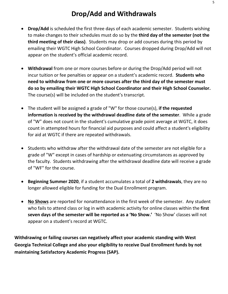- **Drop/Add** is scheduled the first three days of each academic semester. Students wishing to make changes to their schedules must do so by the **third day of the semester (not the third meeting of their class)**. Students may drop or add courses during this period by emailing their WGTC High School Coordinator. Courses dropped during Drop/Add will not appear on the student's official academic record.
- **Withdrawal** from one or more courses before or during the Drop/Add period will not incur tuition or fee penalties or appear on a student's academic record. **Students who need to withdraw from one or more courses after the third day of the semester must do so by emailing their WGTC High School Coordinator and their High School Counselor.**  The course(s) will be included on the student's transcript.
- The student will be assigned a grade of "W" for those course(s), **if the requested information is received by the withdrawal deadline date of the semester**. While a grade of "W" does not count in the student's cumulative grade point average at WGTC, it does count in attempted hours for financial aid purposes and could affect a student's eligibility for aid at WGTC if there are repeated withdrawals.
- Students who withdraw after the withdrawal date of the semester are not eligible for a grade of "W" except in cases of hardship or extenuating circumstances as approved by the faculty. Students withdrawing after the withdrawal deadline date will receive a grade of "WF" for the course.
- **Beginning Summer 2020**, if a student accumulates a total of **2 withdrawals**, they are no longer allowed eligible for funding for the Dual Enrollment program.
- **No Shows** are reported for nonattendance in the first week of the semester. Any student who fails to attend class or log in with academic activity for online classes within the **first seven days of the semester will be reported as a 'No Show.'** 'No Show' classes will not appear on a student's record at WGTC.

**Withdrawing or failing courses can negatively affect your academic standing with West Georgia Technical College and also your eligibility to receive Dual Enrollment funds by not maintaining Satisfactory Academic Progress (SAP).**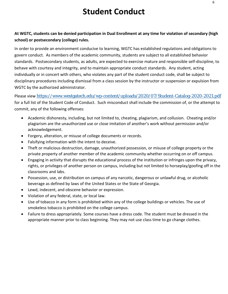# **Student Conduct**

### **At WGTC, students can be denied participation in Dual Enrollment at any time for violation of secondary (high school) or postsecondary (college) rules.**

In order to provide an environment conducive to learning, WGTC has established regulations and obligations to govern conduct. As members of the academic community, students are subject to all established behavior standards. Postsecondary students, as adults, are expected to exercise mature and responsible self-discipline, to behave with courtesy and integrity, and to maintain appropriate conduct standards. Any student, acting individually or in concert with others, who violates any part of the student conduct code, shall be subject to disciplinary procedures including dismissal from a class session by the instructor or suspension or expulsion from WGTC by the authorized administrator.

Please view <https://www.westgatech.edu/wp-content/uploads/2020/07/Student-Catalog-2020-2021.pdf> for a full list of the Student Code of Conduct. Such misconduct shall include the commission of, or the attempt to commit, any of the following offenses:

- Academic dishonesty, including, but not limited to, cheating, plagiarism, and collusion. Cheating and/or plagiarism are the unauthorized use or close imitation of another's work without permission and/or acknowledgement.
- Forgery, alteration, or misuse of college documents or records.
- Falsifying information with the intent to deceive.
- Theft or malicious destruction, damage, unauthorized possession, or misuse of college property or the private property of another member of the academic community whether occurring on or off campus.
- Engaging in activity that disrupts the educational process of the institution or infringes upon the privacy, rights, or privileges of another person on campus, including but not limited to horseplay/goofing off in the classrooms and labs.
- Possession, use, or distribution on campus of any narcotic, dangerous or unlawful drug, or alcoholic beverage as defined by laws of the United States or the State of Georgia.
- Lewd, indecent, and obscene behavior or expression.
- Violation of any federal, state, or local law.
- Use of tobacco in any form is prohibited within any of the college buildings or vehicles. The use of smokeless tobacco is prohibited on the college campus.
- Failure to dress appropriately. Some courses have a dress code. The student must be dressed in the appropriate manner prior to class beginning. They may not use class time to go change clothes.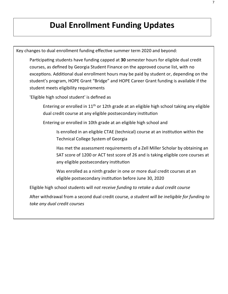# **Dual Enrollment Funding Updates**

Key changes to dual enrollment funding effective summer term 2020 and beyond:

Participating students have funding capped at **30** semester hours for eligible dual credit courses, as defined by Georgia Student Finance on the approved course list, with no exceptions. Additional dual enrollment hours may be paid by student or, depending on the student's program, HOPE Grant "Bridge" and HOPE Career Grant funding is available if the student meets eligibility requirements

'Eligible high school student' is defined as

Entering or enrolled in 11th or 12th grade at an eligible high school taking any eligible dual credit course at any eligible postsecondary institution

Entering or enrolled in 10th grade at an eligible high school and

Is enrolled in an eligible CTAE (technical) course at an institution within the Technical College System of Georgia

Has met the assessment requirements of a Zell Miller Scholar by obtaining an SAT score of 1200 or ACT test score of 26 and is taking eligible core courses at any eligible postsecondary institution

Was enrolled as a ninth grader in one or more dual credit courses at an eligible postsecondary institution before June 30, 2020

Eligible high school students will *not receive funding to retake a dual credit course*

After withdrawal from a second dual credit course, *a student will be ineligible for funding to take any dual credit courses*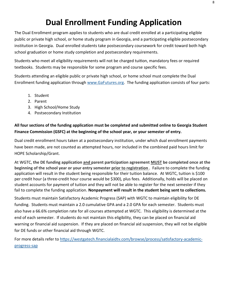# **Dual Enrollment Funding Application**

The Dual Enrollment program applies to students who are dual credit enrolled at a participating eligible public or private high school, or home study program in Georgia, and a participating eligible postsecondary institution in Georgia. Dual enrolled students take postsecondary coursework for credit toward both high school graduation or home study completion and postsecondary requirements.

Students who meet all eligibility requirements will not be charged tuition, mandatory fees or required textbooks. Students may be responsible for some program and course specific fees.

Students attending an eligible public or private high school, or home school must complete the Dual Enrollment funding application through [www.GaFutures.org.](http://www.gafutures.org/) The funding application consists of four parts:

- 1. Student
- 2. Parent
- 3. High School/Home Study
- 4. Postsecondary Institution

### **All four sections of the funding application must be completed and submitted online to Georgia Student Finance Commission (GSFC) at the beginning of the school year, or your semester of entry.**

Dual credit enrollment hours taken at a postsecondary institution, under which dual enrollment payments have been made, are not counted as attempted hours, nor included in the combined paid hours limit for HOPE Scholarship/Grant.

At WGTC, **the DE funding application and parent participation agreement MUST be completed once at the beginning of the school year or your entry semester prior to registration** . Failure to complete the funding application will result in the student being responsible for their tuition balance. At WGTC, tuition is \$100 per credit hour (a three-credit hour course would be \$300), plus fees. Additionally, holds will be placed on student accounts for payment of tuition and they will not be able to register for the next semester if they fail to complete the funding application. **Nonpayment will result in the student being sent to collections.**

Students must maintain Satisfactory Academic Progress (SAP) with WGTC to maintain eligibility for DE funding. Students must maintain a 2.0 cumulative GPA and a 2.0 GPA for each semester. Students must also have a 66.6% completion rate for all courses attempted at WGTC. This eligibility is determined at the end of each semester. If students do not maintain this eligibility, they can be placed on financial aid warning or financial aid suspension. If they are placed on financial aid suspension, they will not be eligible for DE funds or other financial aid through WGTC.

For more details refer to [https://westgatech.financialaidtv.com/browse/process/satisfactory](https://westgatech.financialaidtv.com/browse/process/satisfactory-academic-progress-sap)-academic[progress-sap](https://westgatech.financialaidtv.com/browse/process/satisfactory-academic-progress-sap)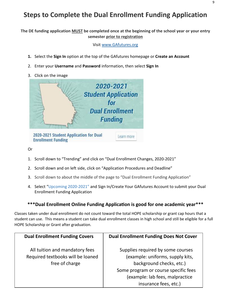### **Steps to Complete the Dual Enrollment Funding Application**

**The DE funding application MUST be completed once at the beginning of the school year or your entry semester prior to registration** 

Visit [www.GAfutures.org](http://www.gafutures.org/)

- **1.** Select the **Sign In** option at the top of the GAfutures homepage or **Create an Account**
- 2. Enter your **Username** and **Password** information, then select **Sign In**
- 3. Click on the image



Or

- 1. Scroll down to "Trending" and click on "Dual Enrollment Changes, 2020-2021"
- 2. Scroll down and on left side, click on "Application Procedures and Deadline"
- 3. Scroll down to about the middle of the page to "Dual Enrollment Funding Application"
- 4. Select "Upcoming 2020-2021" and Sign In/Create Your GAfutures Account to submit your Dual Enrollment Funding Application

### **\*\*\*Dual Enrollment Online Funding Application is good for one academic year\*\*\***

Classes taken under dual enrollment do not count toward the total HOPE scholarship or grant cap hours that a student can use. This means a student can take dual enrollment classes in high school and still be eligible for a full HOPE Scholarship or Grant after graduation.

| <b>Dual Enrollment Funding Covers</b> | <b>Dual Enrollment Funding Does Not Cover</b> |  |
|---------------------------------------|-----------------------------------------------|--|
| All tuition and mandatory fees        | Supplies required by some courses             |  |
| Required textbooks will be loaned     | (example: uniforms, supply kits,              |  |
| free of charge                        | background checks, etc.)                      |  |
|                                       | Some program or course specific fees          |  |
|                                       | (example: lab fees, malpractice               |  |
|                                       | insurance fees, etc.)                         |  |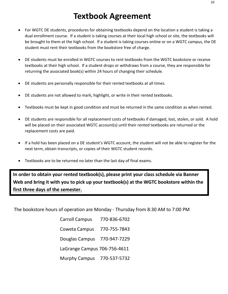- For WGTC DE students, procedures for obtaining textbooks depend on the location a student is taking a dual enrollment course. If a student is taking courses at their local high school or site, the textbooks will be brought to them at the high school. If a student is taking courses online or on a WGTC campus, the DE student must rent their textbooks from the bookstore free of charge.
- DE students must be enrolled in WGTC courses to rent textbooks from the WGTC bookstore or receive textbooks at their high school. If a student drops or withdraws from a course, they are responsible for returning the associated book(s) within 24 hours of changing their schedule.
- DE students are personally responsible for their rented textbooks at all times.
- DE students are not allowed to mark, highlight, or write in their rented textbooks.
- Textbooks must be kept in good condition and must be returned in the same condition as when rented.
- DE students are responsible for all replacement costs of textbooks if damaged, lost, stolen, or sold. A hold will be placed on their associated WGTC account(s) until their rented textbooks are returned or the replacement costs are paid.
- If a hold has been placed on a DE student's WGTC account, the student will not be able to register for the next term, obtain transcripts, or copies of their WGTC student records.
- Textbooks are to be returned no later than the last day of final exams.

**In order to obtain your rented textbook(s), please print your class schedule via Banner Web and bring it with you to pick up your textbook(s) at the WGTC bookstore within the first three days of the semester.**

The bookstore hours of operation are Monday - Thursday from 8:30 AM to 7:00 PM

Carroll Campus 770-836-6702 Coweta Campus 770-755-7843 Douglas Campus 770-947-7229 LaGrange Campus 706-756-4611 Murphy Campus 770-537-5732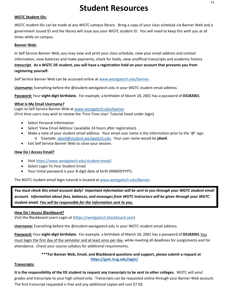# **Student Resources**

#### **WGTC Student IDs:**

WGTC student IDs can be made at any WGTC campus library. Bring a copy of your class schedule via Banner Web and a government issued ID and the library will issue you your WGTC student ID. You will need to keep this with you at all times while on campus.

#### **Banner Web:**

In Self Service Banner Web, you may view and print your class schedule, view your email address and contact information, view balances and make payments, check for holds, view unofficial transcripts and academic history *transcript*. **As a WGTC DE student, you will have a registration hold on your account that prevents you from registering yourself.**

Self Service Banner Web can be accessed online a[t www.westgatech.edu/banner.](http://www.westgatech.edu/banner)

**Username:** Everything before the @student.westgatech.edu in your WGTC student email address.

**Password:** Your **eight-digit birthdate.** For example, a birthdate of March 18, 2001 has a password of **03182001**.

#### **What Is My Email Username?**

Login to Self Service Banner Web at [www.westgatech.edu/banner](http://www.westgatech.edu/banner) (First time users may wish to review the 'First-Time User' Tutorial listed under login)

- Select Personal Information
- Select 'View Email Address' (available 24 hours after registration)
- Make a note of your student email address. Your email user name is the information prior to the ' $\omega$ ' sign.
	- o Example: [jdoe4@student.westgatech.edu.](mailto:jdoe4@student.westgatech.edu) Your user name would be **jdoe4**.
- Exit Self Service Banner Web to close your session.

#### **How Do I Access Email?**

- Visit [https://www.westgatech.edu/student](https://www.westgatech.edu/student-email/)-email/
- Select Login To Your Student Email
- Your Initial password is your 8-digit date of birth (MMDDYYYY).

The WGTC student email login tutorial is located at [www.westgatech.edu/Banner.](http://www.westgatech.edu/Banner)

You must check this email account daily! Important information will be sent to you through your WGTC student email *account. Information about fees, balances, and messages from WGTC instructors will be given through your WGTC student email. You will be responsible for the information sent to you.*

#### **How Do I Access Blackboard?**

Visit the Blackboard Learn Login at ([https://westgatech.blackboard.com](https://westgatech.blackboard.com/))

**Username:** Everything before the @student.westgatech.edu in your WGTC student email address.

**Password:** Your **eight-digit birthdate.** For example, a birthdate of March 18, 2001 has a password of **03182001**.You must login the first day of the semester and at least once per day, while meeting all deadlines for assignments and for attendance. Check your course syllabus for additional requirements.

> **\*\*\*For Banner Web, Email, and Blackboard questions and support, please submit a request at <https://gvtc.tcsg.edu/wgtc/>**

#### **Transcripts:**

**It is the responsibility of the DE student to request any transcripts to be sent to other colleges.** WGTC will send grades and transcripts to your high school only. Transcripts can be requested online through your Banner Web account. The first transcript requested is free and any additional copies will cost \$7.50.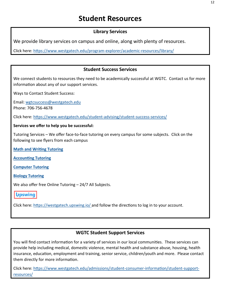### **Student Resources**

### **Library Services**

We provide library services on campus and online, along with plenty of resources.

Click here: [https://www.westgatech.edu/program](https://www.westgatech.edu/program-explorer/academic-resources/library/)-explorer/academic-resources/library/

### **Student Success Services**

We connect students to resources they need to be academically successful at WGTC. Contact us for more information about any of our support services.

Ways to Contact Student Success:

Email: [wgtcsuccess@westgatech.edu](mailto:wgtcsuccess@westgatech.edu)

Phone: 706-756-4678

Click here: [https://www.westgatech.edu/student](https://www.westgatech.edu/student-advising/student-success-services/)-advising/student-success-services/

### **Services we offer to help you be successful:**

Tutoring Services – We offer face-to-face tutoring on every campus for some subjects. Click on the following to see flyers from each campus

**[Math and Writing Tutoring](https://www.westgatech.edu/wp-content/uploads/2018/01/mathtutoring.pdf)**

**[Accounting Tutoring](https://www.westgatech.edu/wp-content/uploads/2018/01/accountingtutoring.pdf)**

**[Computer Tutoring](https://www.westgatech.edu/wp-content/uploads/2018/04/Computer-Tutoring.pdf)**

**[Biology Tutoring](https://www.westgatech.edu/wp-content/uploads/2019/08/biotutoring.pdf)**

We also offer free Online Tutoring - 24/7 All Subjects.

**Upswing** 

Click here: <https://westgatech.upswing.io/> and follow the directions to log in to your account.

### **WGTC Student Support Services**

You will find contact information for a variety of services in our local communities. These services can provide help including medical, domestic violence, mental health and substance abuse, housing, health insurance, education, employment and training, senior service, children/youth and more. Please contact them directly for more information.

Click here: [https://www.westgatech.edu/admissions/student](https://www.westgatech.edu/admissions/student-consumer-information/student-support-resources/)-consumer-information/student-support[resources/](https://www.westgatech.edu/admissions/student-consumer-information/student-support-resources/)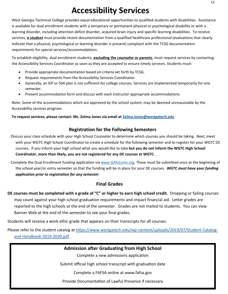# **Accessibility Services**

West Georgia Technical College provides equal educational opportunities to qualified students with disabilities. Assistance is available for dual enrollment students with a temporary or permanent physical or psychological disability or with a learning disorder, including attention deficit disorder, acquired brain injury and specific learning disabilities. To receive services, *a student* must provide recent documentation from a qualified healthcare professional (evaluations that clearly indicate that a physical, psychological or learning disorder is present) compliant with the TCSG documentation requirements for special services/accommodations.

To establish eligibility, dual enrollment students, **excluding the counselor or parents**, must request services by contacting the Accessibility Services Coordinator as soon as they are accepted to ensure timely services. Students must:

- Provide appropriate documentation based on criteria set forth by TCSG.
- Request requirements from the Accessibility Services Coordinator.
- Generally, an IEP or 504 plan is not sufficient for college courses. Services are implemented temporarily for one semester.
- Present accommodation form and discuss with each instructor appropriate accommodations.

Note: Some of the accommodations which are approved by the school system, may be deemed unreasonable by the Accessibility services program.

**To request services, please contact: Ms. Zelma Jones via email at [Zelma.Jones@westgatech.edu](mailto:Zelma.Jones@westgatech.edu)**

### **Registration for the Following Semesters**

- · Discuss your class schedule with your High School Counselor to determine which courses you should be taking. Next, meet with your WGTC High School Coordinator to create a schedule for the following semester and to register for your WGTC DE courses. If you inform your high school what you would like to take **but you do not inform the WGTC High School Coordinator, more than likely, you are not registered for any DE courses at WGTC.**
- · Complete the Dual Enrollment funding application via [www.GAfutures.org.](http://www.gafutures.org/) These must be submitted once at the beginning of the school year/or entry semester so that the funding will be in place for your DE courses. *WGTC must have your funding application prior to registration for any semester*.

### **Final Grades**

**DE courses must be completed with a grade of "C" or higher to earn high school credit.** Dropping or failing courses may count against your high school graduation requirements and impact financial aid. Letter grades are reported to the high schools at the end of the semester. Grades are not mailed to students. You can view Banner Web at the end of the semester to see your final grades.

Students will receive a work ethic grade that appears on their transcripts for all courses.

Please refer to the student catalog at https://www.westgatech.edu/wp[-content/uploads/2019/07/Student-Catalog](https://www.westgatech.edu/wp-content/uploads/2019/07/Student-Catalog-and-Handbook-2019-2020.pdf)[and-Handbook-2019-2020.pdf](https://www.westgatech.edu/wp-content/uploads/2019/07/Student-Catalog-and-Handbook-2019-2020.pdf) .

**Admission after Graduating from High School**

Complete a new admissions application

Submit official high school transcript with graduation date

Complete a FAFSA online at www.fafsa.gov

Provide Documentation of Lawful Presence if necessary